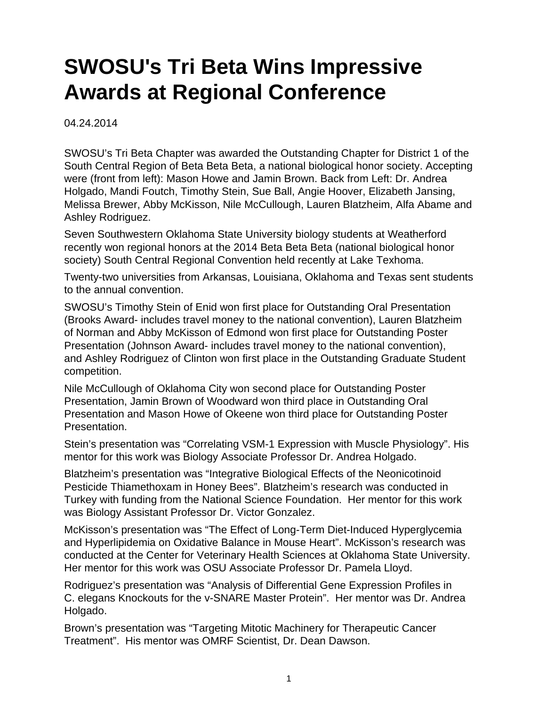## **SWOSU's Tri Beta Wins Impressive Awards at Regional Conference**

04.24.2014

SWOSU's Tri Beta Chapter was awarded the Outstanding Chapter for District 1 of the South Central Region of Beta Beta Beta, a national biological honor society. Accepting were (front from left): Mason Howe and Jamin Brown. Back from Left: Dr. Andrea Holgado, Mandi Foutch, Timothy Stein, Sue Ball, Angie Hoover, Elizabeth Jansing, Melissa Brewer, Abby McKisson, Nile McCullough, Lauren Blatzheim, Alfa Abame and Ashley Rodriguez.

Seven Southwestern Oklahoma State University biology students at Weatherford recently won regional honors at the 2014 Beta Beta Beta (national biological honor society) South Central Regional Convention held recently at Lake Texhoma.

Twenty-two universities from Arkansas, Louisiana, Oklahoma and Texas sent students to the annual convention.

SWOSU's Timothy Stein of Enid won first place for Outstanding Oral Presentation (Brooks Award- includes travel money to the national convention), Lauren Blatzheim of Norman and Abby McKisson of Edmond won first place for Outstanding Poster Presentation (Johnson Award- includes travel money to the national convention), and Ashley Rodriguez of Clinton won first place in the Outstanding Graduate Student competition.

Nile McCullough of Oklahoma City won second place for Outstanding Poster Presentation, Jamin Brown of Woodward won third place in Outstanding Oral Presentation and Mason Howe of Okeene won third place for Outstanding Poster Presentation.

Stein's presentation was "Correlating VSM-1 Expression with Muscle Physiology". His mentor for this work was Biology Associate Professor Dr. Andrea Holgado.

Blatzheim's presentation was "Integrative Biological Effects of the Neonicotinoid Pesticide Thiamethoxam in Honey Bees". Blatzheim's research was conducted in Turkey with funding from the National Science Foundation. Her mentor for this work was Biology Assistant Professor Dr. Victor Gonzalez.

McKisson's presentation was "The Effect of Long-Term Diet-Induced Hyperglycemia and Hyperlipidemia on Oxidative Balance in Mouse Heart". McKisson's research was conducted at the Center for Veterinary Health Sciences at Oklahoma State University. Her mentor for this work was OSU Associate Professor Dr. Pamela Lloyd.

Rodriguez's presentation was "Analysis of Differential Gene Expression Profiles in C. elegans Knockouts for the v-SNARE Master Protein". Her mentor was Dr. Andrea Holgado.

Brown's presentation was "Targeting Mitotic Machinery for Therapeutic Cancer Treatment". His mentor was OMRF Scientist, Dr. Dean Dawson.